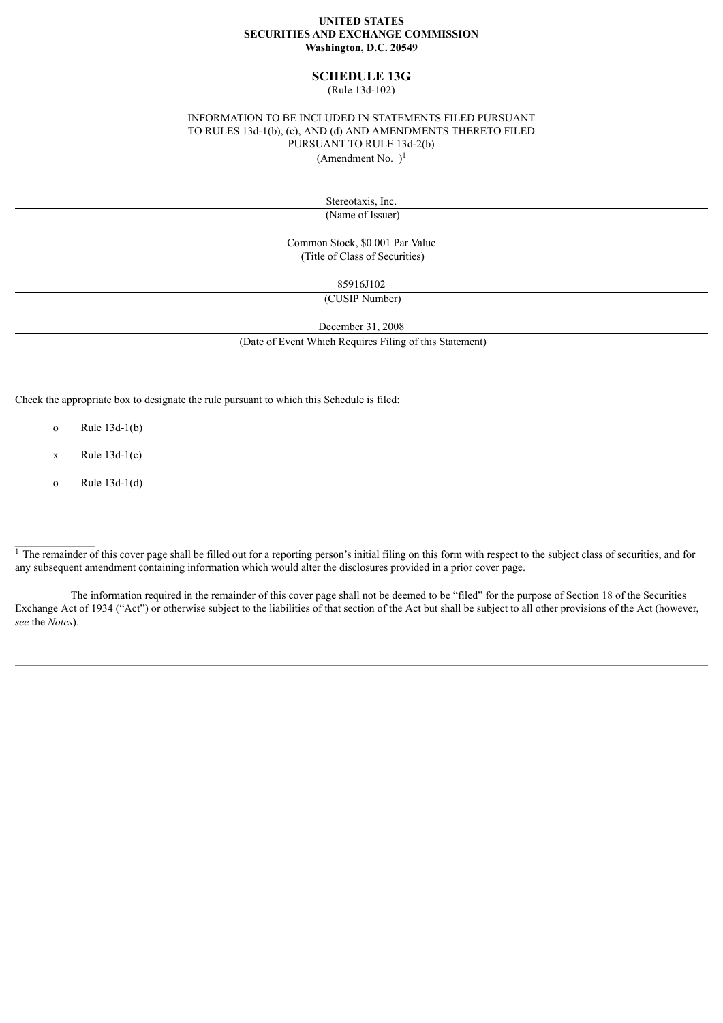#### **UNITED STATES SECURITIES AND EXCHANGE COMMISSION Washington, D.C. 20549**

## **SCHEDULE 13G**

(Rule 13d-102)

#### INFORMATION TO BE INCLUDED IN STATEMENTS FILED PURSUANT TO RULES 13d-1(b), (c), AND (d) AND AMENDMENTS THERETO FILED PURSUANT TO RULE 13d-2(b) (Amendment No.  $)$ <sup>1</sup>

Stereotaxis, Inc.

(Name of Issuer)

Common Stock, \$0.001 Par Value (Title of Class of Securities)

85916J102

(CUSIP Number)

December 31, 2008

(Date of Event Which Requires Filing of this Statement)

Check the appropriate box to designate the rule pursuant to which this Schedule is filed:

- o Rule 13d-1(b)
- $x$  Rule 13d-1(c)
- o Rule 13d-1(d)

 $\mathcal{L}_\text{max}$ 

The information required in the remainder of this cover page shall not be deemed to be "filed" for the purpose of Section 18 of the Securities Exchange Act of 1934 ("Act") or otherwise subject to the liabilities of that section of the Act but shall be subject to all other provisions of the Act (however, *see* the *Notes*).

 $\frac{1}{1}$  The remainder of this cover page shall be filled out for a reporting person's initial filing on this form with respect to the subject class of securities, and for any subsequent amendment containing information which would alter the disclosures provided in a prior cover page.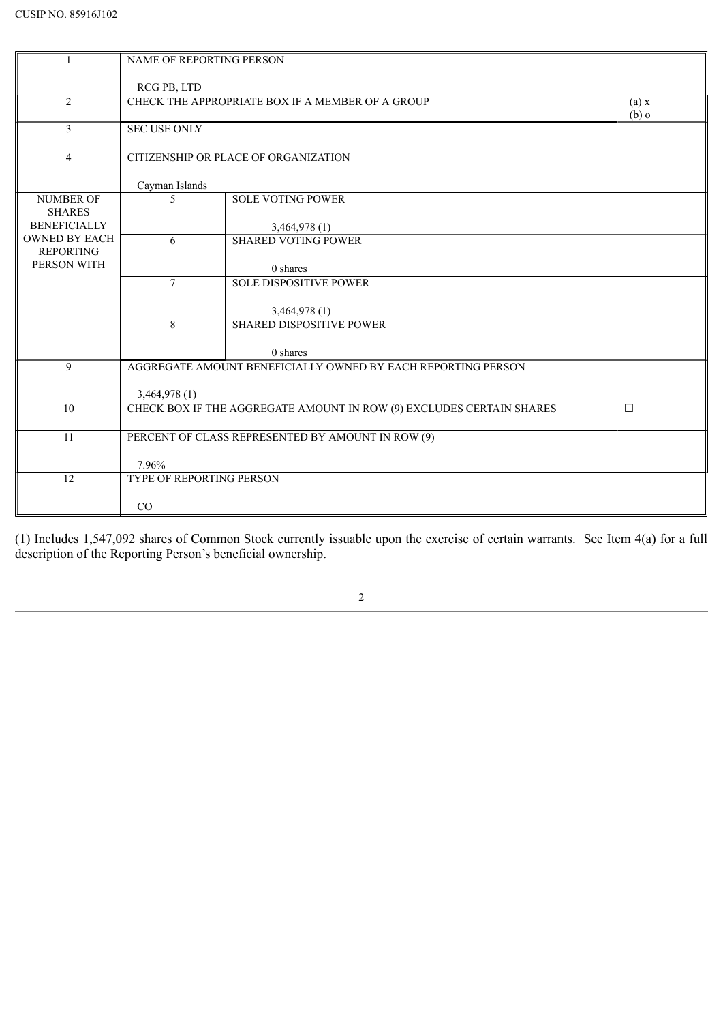|                                          | <b>NAME OF REPORTING PERSON</b> |                                                                      |                  |
|------------------------------------------|---------------------------------|----------------------------------------------------------------------|------------------|
|                                          | RCG PB, LTD                     |                                                                      |                  |
| $\overline{2}$                           |                                 | CHECK THE APPROPRIATE BOX IF A MEMBER OF A GROUP                     | (a) x<br>$(b)$ o |
| 3                                        | <b>SEC USE ONLY</b>             |                                                                      |                  |
| $\overline{4}$                           |                                 | CITIZENSHIP OR PLACE OF ORGANIZATION                                 |                  |
|                                          | Cayman Islands                  |                                                                      |                  |
| <b>NUMBER OF</b><br><b>SHARES</b>        | 5                               | <b>SOLE VOTING POWER</b>                                             |                  |
| <b>BENEFICIALLY</b>                      |                                 | 3,464,978(1)                                                         |                  |
| <b>OWNED BY EACH</b><br><b>REPORTING</b> | 6                               | <b>SHARED VOTING POWER</b>                                           |                  |
| PERSON WITH                              |                                 | 0 shares                                                             |                  |
|                                          | $\tau$                          | <b>SOLE DISPOSITIVE POWER</b>                                        |                  |
|                                          |                                 | 3,464,978 (1)                                                        |                  |
|                                          | 8                               | <b>SHARED DISPOSITIVE POWER</b>                                      |                  |
|                                          |                                 | 0 shares                                                             |                  |
| 9                                        |                                 | AGGREGATE AMOUNT BENEFICIALLY OWNED BY EACH REPORTING PERSON         |                  |
|                                          | 3,464,978 (1)                   |                                                                      |                  |
| 10                                       |                                 | CHECK BOX IF THE AGGREGATE AMOUNT IN ROW (9) EXCLUDES CERTAIN SHARES | $\Box$           |
| 11                                       |                                 | PERCENT OF CLASS REPRESENTED BY AMOUNT IN ROW (9)                    |                  |
|                                          | 7.96%                           |                                                                      |                  |
| 12                                       | TYPE OF REPORTING PERSON        |                                                                      |                  |
|                                          | CO                              |                                                                      |                  |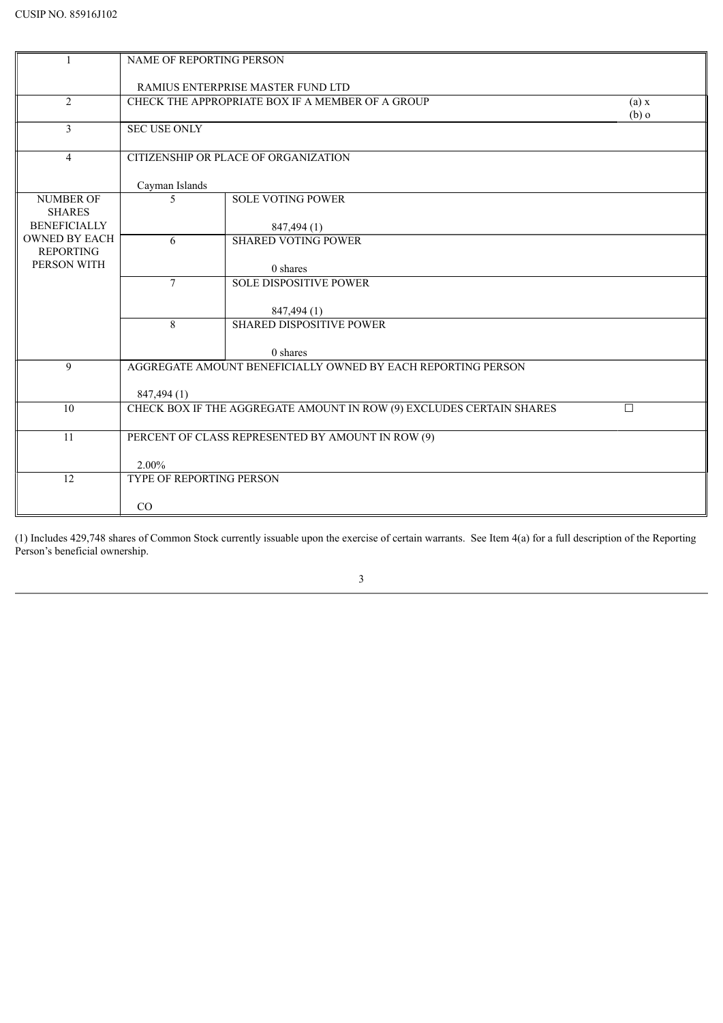|                                   | <b>NAME OF REPORTING PERSON</b>   |                                                                      |                  |  |
|-----------------------------------|-----------------------------------|----------------------------------------------------------------------|------------------|--|
|                                   | RAMIUS ENTERPRISE MASTER FUND LTD |                                                                      |                  |  |
| $\overline{2}$                    |                                   | CHECK THE APPROPRIATE BOX IF A MEMBER OF A GROUP                     | (a) x<br>$(b)$ o |  |
| $\overline{3}$                    | <b>SEC USE ONLY</b>               |                                                                      |                  |  |
| $\overline{4}$                    |                                   | CITIZENSHIP OR PLACE OF ORGANIZATION                                 |                  |  |
|                                   | Cayman Islands                    |                                                                      |                  |  |
| <b>NUMBER OF</b><br><b>SHARES</b> | 5                                 | <b>SOLE VOTING POWER</b>                                             |                  |  |
| <b>BENEFICIALLY</b>               |                                   | 847,494 (1)                                                          |                  |  |
| <b>OWNED BY EACH</b>              | 6                                 | <b>SHARED VOTING POWER</b>                                           |                  |  |
| <b>REPORTING</b><br>PERSON WITH   |                                   |                                                                      |                  |  |
|                                   | $\tau$                            | 0 shares<br><b>SOLE DISPOSITIVE POWER</b>                            |                  |  |
|                                   |                                   |                                                                      |                  |  |
|                                   |                                   | 847,494 (1)                                                          |                  |  |
|                                   | 8                                 | <b>SHARED DISPOSITIVE POWER</b>                                      |                  |  |
|                                   |                                   | 0 shares                                                             |                  |  |
| 9                                 |                                   | AGGREGATE AMOUNT BENEFICIALLY OWNED BY EACH REPORTING PERSON         |                  |  |
|                                   | 847,494 (1)                       |                                                                      |                  |  |
| 10                                |                                   | CHECK BOX IF THE AGGREGATE AMOUNT IN ROW (9) EXCLUDES CERTAIN SHARES | $\Box$           |  |
|                                   |                                   |                                                                      |                  |  |
| 11                                |                                   | PERCENT OF CLASS REPRESENTED BY AMOUNT IN ROW (9)                    |                  |  |
|                                   | 2.00%                             |                                                                      |                  |  |
| 12                                | TYPE OF REPORTING PERSON          |                                                                      |                  |  |
|                                   |                                   |                                                                      |                  |  |
|                                   | CO                                |                                                                      |                  |  |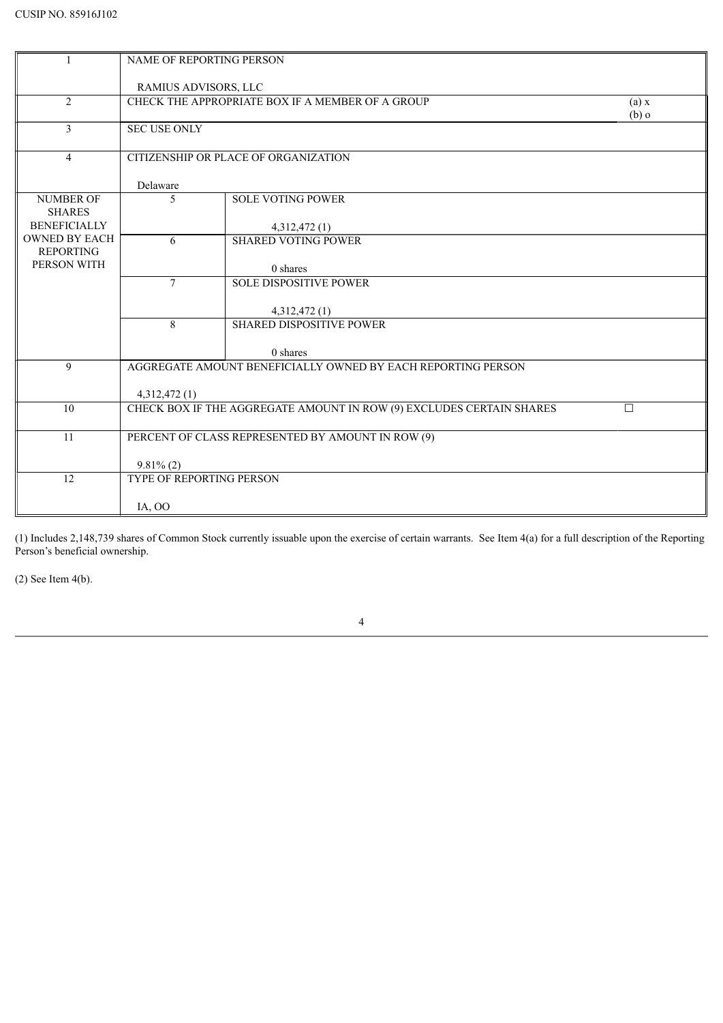|                                          | NAME OF REPORTING PERSON                          |                                                                      |                  |  |
|------------------------------------------|---------------------------------------------------|----------------------------------------------------------------------|------------------|--|
|                                          | RAMIUS ADVISORS, LLC                              |                                                                      |                  |  |
| 2                                        |                                                   | CHECK THE APPROPRIATE BOX IF A MEMBER OF A GROUP                     | (a) x<br>$(b)$ o |  |
| 3                                        | <b>SEC USE ONLY</b>                               |                                                                      |                  |  |
| $\overline{4}$                           |                                                   | CITIZENSHIP OR PLACE OF ORGANIZATION                                 |                  |  |
|                                          | Delaware                                          |                                                                      |                  |  |
| <b>NUMBER OF</b><br><b>SHARES</b>        | 5                                                 | <b>SOLE VOTING POWER</b>                                             |                  |  |
| <b>BENEFICIALLY</b>                      |                                                   | 4,312,472(1)                                                         |                  |  |
| <b>OWNED BY EACH</b><br><b>REPORTING</b> | 6                                                 | <b>SHARED VOTING POWER</b>                                           |                  |  |
| PERSON WITH                              |                                                   | 0 shares                                                             |                  |  |
|                                          | $\tau$                                            | <b>SOLE DISPOSITIVE POWER</b>                                        |                  |  |
|                                          |                                                   | 4,312,472(1)                                                         |                  |  |
|                                          | 8                                                 | <b>SHARED DISPOSITIVE POWER</b>                                      |                  |  |
|                                          |                                                   | 0 shares                                                             |                  |  |
| 9                                        |                                                   | AGGREGATE AMOUNT BENEFICIALLY OWNED BY EACH REPORTING PERSON         |                  |  |
|                                          | 4,312,472(1)                                      |                                                                      |                  |  |
| 10                                       |                                                   | CHECK BOX IF THE AGGREGATE AMOUNT IN ROW (9) EXCLUDES CERTAIN SHARES | $\Box$           |  |
| 11                                       | PERCENT OF CLASS REPRESENTED BY AMOUNT IN ROW (9) |                                                                      |                  |  |
|                                          |                                                   |                                                                      |                  |  |
| 12                                       | $9.81\%$ (2)<br><b>TYPE OF REPORTING PERSON</b>   |                                                                      |                  |  |
|                                          |                                                   |                                                                      |                  |  |
|                                          | IA, OO                                            |                                                                      |                  |  |

(2) See Item 4(b).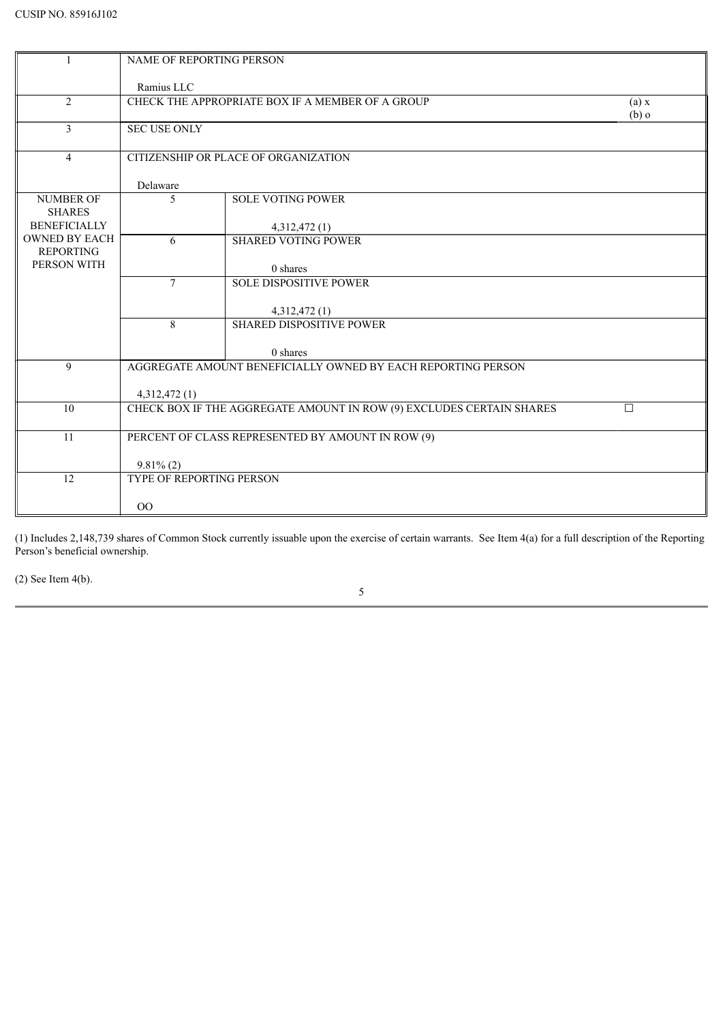|                                          | <b>NAME OF REPORTING PERSON</b> |                                                                      |                  |
|------------------------------------------|---------------------------------|----------------------------------------------------------------------|------------------|
|                                          | Ramius LLC                      |                                                                      |                  |
| $\overline{2}$                           |                                 | CHECK THE APPROPRIATE BOX IF A MEMBER OF A GROUP                     | (a) x<br>$(b)$ o |
| 3                                        | <b>SEC USE ONLY</b>             |                                                                      |                  |
| $\overline{4}$                           |                                 | CITIZENSHIP OR PLACE OF ORGANIZATION                                 |                  |
|                                          | Delaware                        |                                                                      |                  |
| <b>NUMBER OF</b><br><b>SHARES</b>        | 5                               | <b>SOLE VOTING POWER</b>                                             |                  |
| <b>BENEFICIALLY</b>                      |                                 | 4,312,472(1)                                                         |                  |
| <b>OWNED BY EACH</b><br><b>REPORTING</b> | 6                               | <b>SHARED VOTING POWER</b>                                           |                  |
| PERSON WITH                              |                                 | 0 shares                                                             |                  |
|                                          | $\tau$                          | <b>SOLE DISPOSITIVE POWER</b>                                        |                  |
|                                          |                                 | 4,312,472 (1)                                                        |                  |
|                                          | 8                               | <b>SHARED DISPOSITIVE POWER</b>                                      |                  |
|                                          |                                 | 0 shares                                                             |                  |
| 9                                        |                                 | AGGREGATE AMOUNT BENEFICIALLY OWNED BY EACH REPORTING PERSON         |                  |
|                                          | 4,312,472(1)                    |                                                                      |                  |
| 10                                       |                                 | CHECK BOX IF THE AGGREGATE AMOUNT IN ROW (9) EXCLUDES CERTAIN SHARES | $\Box$           |
|                                          |                                 |                                                                      |                  |
| 11                                       |                                 | PERCENT OF CLASS REPRESENTED BY AMOUNT IN ROW (9)                    |                  |
|                                          | $9.81\%$ (2)                    |                                                                      |                  |
| 12                                       | <b>TYPE OF REPORTING PERSON</b> |                                                                      |                  |
|                                          |                                 |                                                                      |                  |
|                                          | 00                              |                                                                      |                  |

(2) See Item 4(b).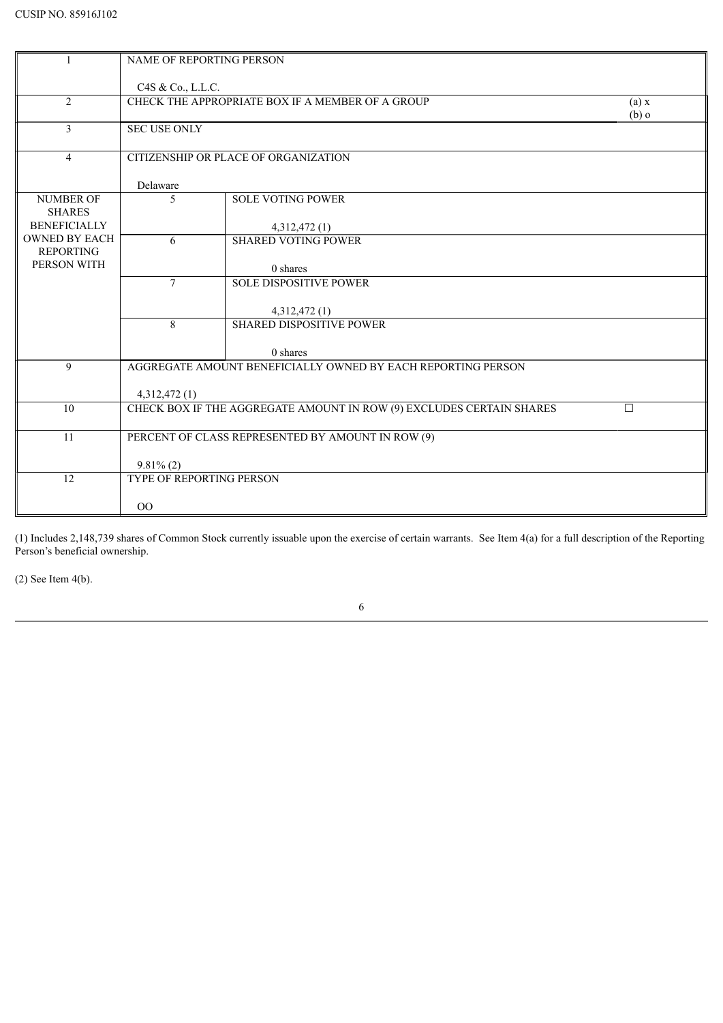| -1                                       | <b>NAME OF REPORTING PERSON</b>                   |                                                                      |                  |
|------------------------------------------|---------------------------------------------------|----------------------------------------------------------------------|------------------|
|                                          | C4S & Co., L.L.C.                                 |                                                                      |                  |
| 2                                        |                                                   | CHECK THE APPROPRIATE BOX IF A MEMBER OF A GROUP                     | (a) x<br>$(b)$ o |
| $\mathfrak{Z}$                           | <b>SEC USE ONLY</b>                               |                                                                      |                  |
| $\overline{4}$                           |                                                   | CITIZENSHIP OR PLACE OF ORGANIZATION                                 |                  |
|                                          | Delaware                                          |                                                                      |                  |
| <b>NUMBER OF</b><br><b>SHARES</b>        | 5                                                 | <b>SOLE VOTING POWER</b>                                             |                  |
| <b>BENEFICIALLY</b>                      |                                                   | 4,312,472(1)                                                         |                  |
| <b>OWNED BY EACH</b><br><b>REPORTING</b> | 6                                                 | <b>SHARED VOTING POWER</b>                                           |                  |
| PERSON WITH                              |                                                   | 0 shares                                                             |                  |
|                                          | $\tau$                                            | <b>SOLE DISPOSITIVE POWER</b>                                        |                  |
|                                          |                                                   | 4,312,472 (1)                                                        |                  |
|                                          | 8                                                 | <b>SHARED DISPOSITIVE POWER</b>                                      |                  |
|                                          |                                                   | 0 shares                                                             |                  |
| 9                                        |                                                   | AGGREGATE AMOUNT BENEFICIALLY OWNED BY EACH REPORTING PERSON         |                  |
|                                          | 4,312,472(1)                                      |                                                                      |                  |
| 10                                       |                                                   | CHECK BOX IF THE AGGREGATE AMOUNT IN ROW (9) EXCLUDES CERTAIN SHARES | $\Box$           |
| $\overline{11}$                          | PERCENT OF CLASS REPRESENTED BY AMOUNT IN ROW (9) |                                                                      |                  |
|                                          | $9.81\%$ (2)                                      |                                                                      |                  |
| 12                                       | TYPE OF REPORTING PERSON                          |                                                                      |                  |
|                                          |                                                   |                                                                      |                  |
|                                          | 00                                                |                                                                      |                  |

(2) See Item 4(b).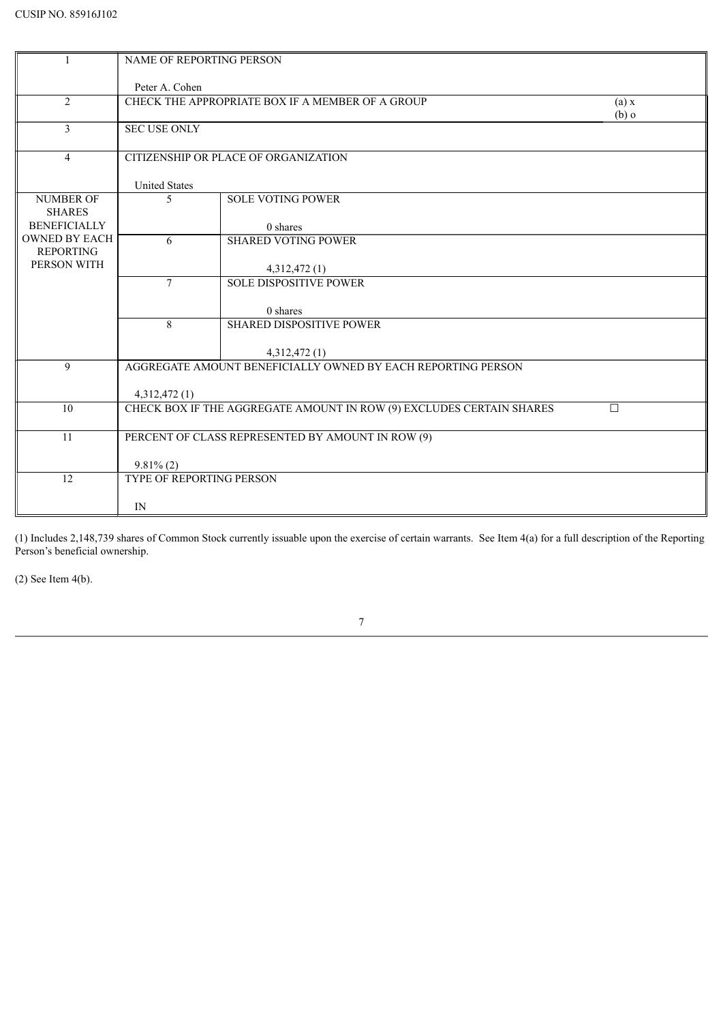| $\mathbf{1}$         | NAME OF REPORTING PERSON |                                                                      |         |
|----------------------|--------------------------|----------------------------------------------------------------------|---------|
|                      |                          |                                                                      |         |
|                      | Peter A. Cohen           |                                                                      |         |
| 2                    |                          | CHECK THE APPROPRIATE BOX IF A MEMBER OF A GROUP                     | (a) x   |
|                      |                          |                                                                      | $(b)$ o |
| 3                    | <b>SEC USE ONLY</b>      |                                                                      |         |
|                      |                          |                                                                      |         |
| $\overline{4}$       |                          | CITIZENSHIP OR PLACE OF ORGANIZATION                                 |         |
|                      | <b>United States</b>     |                                                                      |         |
| <b>NUMBER OF</b>     | 5                        | <b>SOLE VOTING POWER</b>                                             |         |
| <b>SHARES</b>        |                          |                                                                      |         |
| <b>BENEFICIALLY</b>  |                          | 0 shares                                                             |         |
| <b>OWNED BY EACH</b> | 6                        | <b>SHARED VOTING POWER</b>                                           |         |
| <b>REPORTING</b>     |                          |                                                                      |         |
| PERSON WITH          |                          | 4,312,472 (1)                                                        |         |
|                      | $\tau$                   | <b>SOLE DISPOSITIVE POWER</b>                                        |         |
|                      |                          |                                                                      |         |
|                      |                          | 0 shares                                                             |         |
|                      | 8                        | <b>SHARED DISPOSITIVE POWER</b>                                      |         |
|                      |                          | 4,312,472 (1)                                                        |         |
| 9                    |                          | AGGREGATE AMOUNT BENEFICIALLY OWNED BY EACH REPORTING PERSON         |         |
|                      |                          |                                                                      |         |
|                      | 4,312,472(1)             |                                                                      |         |
| 10                   |                          | CHECK BOX IF THE AGGREGATE AMOUNT IN ROW (9) EXCLUDES CERTAIN SHARES | П       |
|                      |                          |                                                                      |         |
| 11                   |                          | PERCENT OF CLASS REPRESENTED BY AMOUNT IN ROW (9)                    |         |
|                      |                          |                                                                      |         |
|                      | $9.81\%$ (2)             |                                                                      |         |
| 12                   | TYPE OF REPORTING PERSON |                                                                      |         |
|                      | IN                       |                                                                      |         |
|                      |                          |                                                                      |         |

(2) See Item 4(b).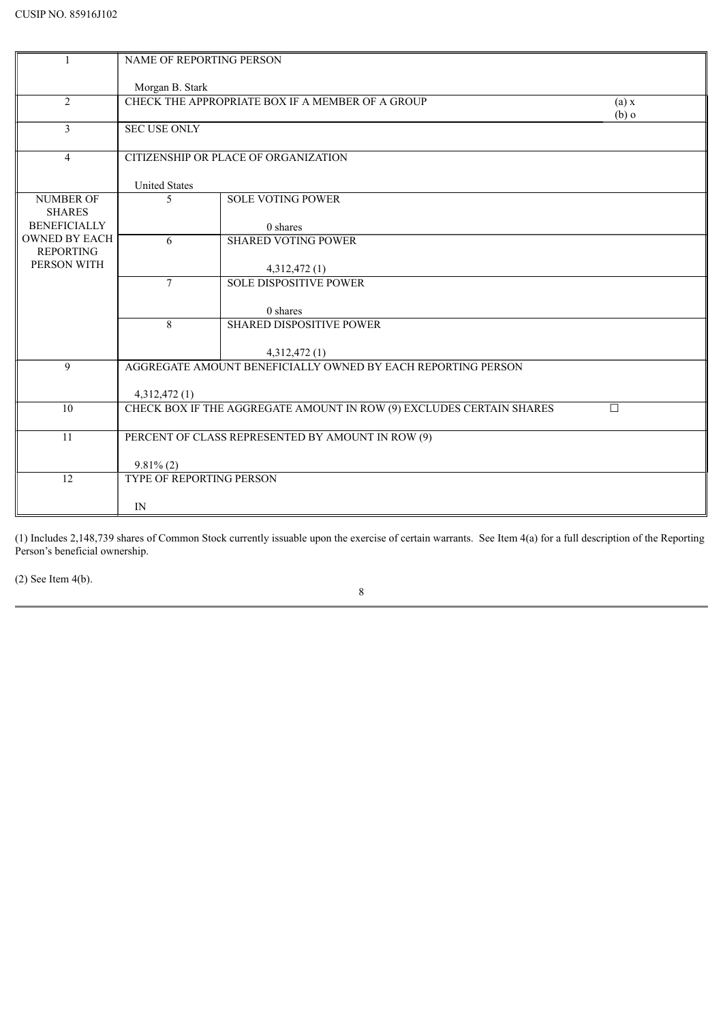| $\mathbf{1}$         | NAME OF REPORTING PERSON        |                                                                               |         |
|----------------------|---------------------------------|-------------------------------------------------------------------------------|---------|
|                      |                                 |                                                                               |         |
|                      | Morgan B. Stark                 |                                                                               |         |
| 2                    |                                 | CHECK THE APPROPRIATE BOX IF A MEMBER OF A GROUP                              | (a) x   |
|                      |                                 |                                                                               | $(b)$ o |
| 3                    | <b>SEC USE ONLY</b>             |                                                                               |         |
|                      |                                 |                                                                               |         |
| $\overline{4}$       |                                 | CITIZENSHIP OR PLACE OF ORGANIZATION                                          |         |
|                      |                                 |                                                                               |         |
| <b>NUMBER OF</b>     | <b>United States</b><br>5       | <b>SOLE VOTING POWER</b>                                                      |         |
| <b>SHARES</b>        |                                 |                                                                               |         |
| <b>BENEFICIALLY</b>  |                                 | 0 shares                                                                      |         |
| <b>OWNED BY EACH</b> | 6                               | <b>SHARED VOTING POWER</b>                                                    |         |
| <b>REPORTING</b>     |                                 |                                                                               |         |
| PERSON WITH          |                                 | 4,312,472(1)                                                                  |         |
|                      | $\tau$                          | <b>SOLE DISPOSITIVE POWER</b>                                                 |         |
|                      |                                 |                                                                               |         |
|                      |                                 | 0 shares                                                                      |         |
|                      | 8                               | <b>SHARED DISPOSITIVE POWER</b>                                               |         |
|                      |                                 |                                                                               |         |
| 9                    |                                 | 4,312,472 (1)<br>AGGREGATE AMOUNT BENEFICIALLY OWNED BY EACH REPORTING PERSON |         |
|                      |                                 |                                                                               |         |
|                      | 4,312,472(1)                    |                                                                               |         |
| 10                   |                                 | CHECK BOX IF THE AGGREGATE AMOUNT IN ROW (9) EXCLUDES CERTAIN SHARES          | П       |
|                      |                                 |                                                                               |         |
| 11                   |                                 | PERCENT OF CLASS REPRESENTED BY AMOUNT IN ROW (9)                             |         |
|                      |                                 |                                                                               |         |
|                      | $9.81\%$ (2)                    |                                                                               |         |
| 12                   | <b>TYPE OF REPORTING PERSON</b> |                                                                               |         |
|                      |                                 |                                                                               |         |
|                      | IN                              |                                                                               |         |

(2) See Item 4(b).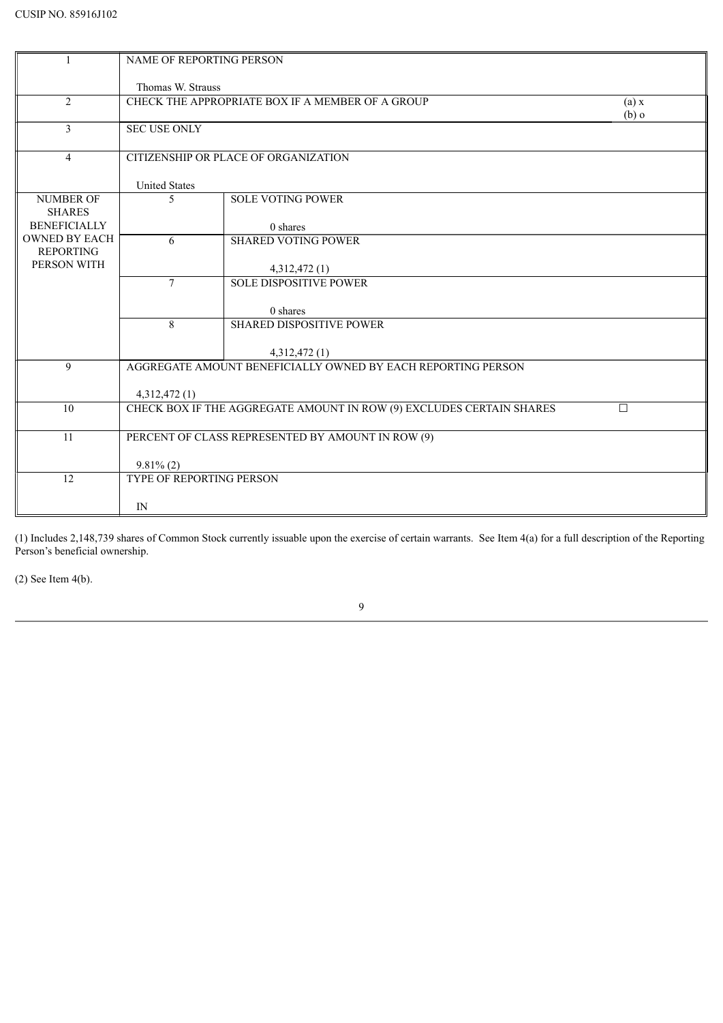| $\mathbf{1}$         | <b>NAME OF REPORTING PERSON</b> |                                                                      |         |
|----------------------|---------------------------------|----------------------------------------------------------------------|---------|
|                      |                                 |                                                                      |         |
|                      | Thomas W. Strauss               |                                                                      |         |
| 2                    |                                 | CHECK THE APPROPRIATE BOX IF A MEMBER OF A GROUP                     | (a) x   |
|                      |                                 |                                                                      | $(b)$ o |
| 3                    | <b>SEC USE ONLY</b>             |                                                                      |         |
|                      |                                 |                                                                      |         |
| $\overline{4}$       |                                 | CITIZENSHIP OR PLACE OF ORGANIZATION                                 |         |
|                      |                                 |                                                                      |         |
|                      | <b>United States</b>            |                                                                      |         |
| <b>NUMBER OF</b>     | 5                               | <b>SOLE VOTING POWER</b>                                             |         |
| <b>SHARES</b>        |                                 |                                                                      |         |
| <b>BENEFICIALLY</b>  |                                 | 0 shares                                                             |         |
| <b>OWNED BY EACH</b> | 6                               | <b>SHARED VOTING POWER</b>                                           |         |
| <b>REPORTING</b>     |                                 |                                                                      |         |
| PERSON WITH          |                                 | 4,312,472 (1)                                                        |         |
|                      | $\tau$                          | <b>SOLE DISPOSITIVE POWER</b>                                        |         |
|                      |                                 |                                                                      |         |
|                      |                                 | 0 shares                                                             |         |
|                      | 8                               | <b>SHARED DISPOSITIVE POWER</b>                                      |         |
|                      |                                 |                                                                      |         |
|                      |                                 | 4,312,472 (1)                                                        |         |
| 9                    |                                 | AGGREGATE AMOUNT BENEFICIALLY OWNED BY EACH REPORTING PERSON         |         |
|                      |                                 |                                                                      |         |
|                      | 4,312,472 (1)                   |                                                                      |         |
| 10                   |                                 | CHECK BOX IF THE AGGREGATE AMOUNT IN ROW (9) EXCLUDES CERTAIN SHARES | $\Box$  |
|                      |                                 |                                                                      |         |
| 11                   |                                 | PERCENT OF CLASS REPRESENTED BY AMOUNT IN ROW (9)                    |         |
|                      |                                 |                                                                      |         |
|                      | $9.81\%$ (2)                    |                                                                      |         |
| 12                   | TYPE OF REPORTING PERSON        |                                                                      |         |
|                      |                                 |                                                                      |         |
|                      | IN                              |                                                                      |         |

(2) See Item 4(b).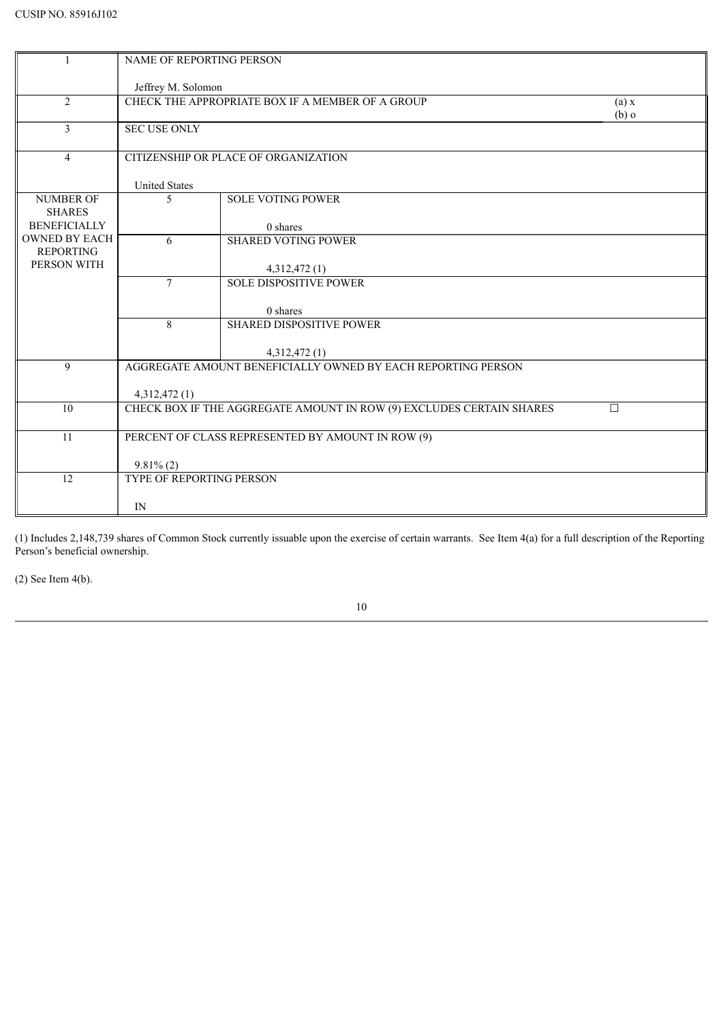| Jeffrey M. Solomon<br>2<br>CHECK THE APPROPRIATE BOX IF A MEMBER OF A GROUP<br>(a) x<br>$(b)$ o<br>$\overline{3}$<br><b>SEC USE ONLY</b><br>CITIZENSHIP OR PLACE OF ORGANIZATION<br>$\overline{4}$<br><b>United States</b><br><b>NUMBER OF</b><br>5<br><b>SOLE VOTING POWER</b><br><b>SHARES</b><br><b>BENEFICIALLY</b><br>0 shares<br><b>OWNED BY EACH</b><br><b>SHARED VOTING POWER</b><br>6<br><b>REPORTING</b><br>PERSON WITH<br>4,312,472 (1)<br><b>SOLE DISPOSITIVE POWER</b><br>$\overline{7}$<br>0 shares<br>8<br><b>SHARED DISPOSITIVE POWER</b><br>4,312,472 (1)<br>AGGREGATE AMOUNT BENEFICIALLY OWNED BY EACH REPORTING PERSON<br>9<br>4,312,472(1)<br>CHECK BOX IF THE AGGREGATE AMOUNT IN ROW (9) EXCLUDES CERTAIN SHARES<br>10<br>П<br>PERCENT OF CLASS REPRESENTED BY AMOUNT IN ROW (9)<br>11<br>$9.81\%$ (2) | $\mathbf{1}$ | NAME OF REPORTING PERSON |  |
|-------------------------------------------------------------------------------------------------------------------------------------------------------------------------------------------------------------------------------------------------------------------------------------------------------------------------------------------------------------------------------------------------------------------------------------------------------------------------------------------------------------------------------------------------------------------------------------------------------------------------------------------------------------------------------------------------------------------------------------------------------------------------------------------------------------------------------|--------------|--------------------------|--|
|                                                                                                                                                                                                                                                                                                                                                                                                                                                                                                                                                                                                                                                                                                                                                                                                                               |              |                          |  |
|                                                                                                                                                                                                                                                                                                                                                                                                                                                                                                                                                                                                                                                                                                                                                                                                                               |              |                          |  |
|                                                                                                                                                                                                                                                                                                                                                                                                                                                                                                                                                                                                                                                                                                                                                                                                                               |              |                          |  |
|                                                                                                                                                                                                                                                                                                                                                                                                                                                                                                                                                                                                                                                                                                                                                                                                                               |              |                          |  |
|                                                                                                                                                                                                                                                                                                                                                                                                                                                                                                                                                                                                                                                                                                                                                                                                                               |              |                          |  |
|                                                                                                                                                                                                                                                                                                                                                                                                                                                                                                                                                                                                                                                                                                                                                                                                                               |              |                          |  |
|                                                                                                                                                                                                                                                                                                                                                                                                                                                                                                                                                                                                                                                                                                                                                                                                                               |              |                          |  |
|                                                                                                                                                                                                                                                                                                                                                                                                                                                                                                                                                                                                                                                                                                                                                                                                                               |              |                          |  |
|                                                                                                                                                                                                                                                                                                                                                                                                                                                                                                                                                                                                                                                                                                                                                                                                                               |              |                          |  |
|                                                                                                                                                                                                                                                                                                                                                                                                                                                                                                                                                                                                                                                                                                                                                                                                                               |              |                          |  |
|                                                                                                                                                                                                                                                                                                                                                                                                                                                                                                                                                                                                                                                                                                                                                                                                                               |              |                          |  |
|                                                                                                                                                                                                                                                                                                                                                                                                                                                                                                                                                                                                                                                                                                                                                                                                                               |              |                          |  |
|                                                                                                                                                                                                                                                                                                                                                                                                                                                                                                                                                                                                                                                                                                                                                                                                                               |              |                          |  |
|                                                                                                                                                                                                                                                                                                                                                                                                                                                                                                                                                                                                                                                                                                                                                                                                                               |              |                          |  |
|                                                                                                                                                                                                                                                                                                                                                                                                                                                                                                                                                                                                                                                                                                                                                                                                                               |              |                          |  |
|                                                                                                                                                                                                                                                                                                                                                                                                                                                                                                                                                                                                                                                                                                                                                                                                                               |              |                          |  |
|                                                                                                                                                                                                                                                                                                                                                                                                                                                                                                                                                                                                                                                                                                                                                                                                                               |              |                          |  |
|                                                                                                                                                                                                                                                                                                                                                                                                                                                                                                                                                                                                                                                                                                                                                                                                                               |              |                          |  |
|                                                                                                                                                                                                                                                                                                                                                                                                                                                                                                                                                                                                                                                                                                                                                                                                                               |              |                          |  |
|                                                                                                                                                                                                                                                                                                                                                                                                                                                                                                                                                                                                                                                                                                                                                                                                                               |              |                          |  |
|                                                                                                                                                                                                                                                                                                                                                                                                                                                                                                                                                                                                                                                                                                                                                                                                                               |              |                          |  |
|                                                                                                                                                                                                                                                                                                                                                                                                                                                                                                                                                                                                                                                                                                                                                                                                                               |              |                          |  |
|                                                                                                                                                                                                                                                                                                                                                                                                                                                                                                                                                                                                                                                                                                                                                                                                                               |              |                          |  |
|                                                                                                                                                                                                                                                                                                                                                                                                                                                                                                                                                                                                                                                                                                                                                                                                                               |              |                          |  |
|                                                                                                                                                                                                                                                                                                                                                                                                                                                                                                                                                                                                                                                                                                                                                                                                                               |              |                          |  |
|                                                                                                                                                                                                                                                                                                                                                                                                                                                                                                                                                                                                                                                                                                                                                                                                                               |              |                          |  |
| 12<br>TYPE OF REPORTING PERSON                                                                                                                                                                                                                                                                                                                                                                                                                                                                                                                                                                                                                                                                                                                                                                                                |              |                          |  |
|                                                                                                                                                                                                                                                                                                                                                                                                                                                                                                                                                                                                                                                                                                                                                                                                                               |              |                          |  |
| IN                                                                                                                                                                                                                                                                                                                                                                                                                                                                                                                                                                                                                                                                                                                                                                                                                            |              |                          |  |

 $(2)$  See Item 4(b).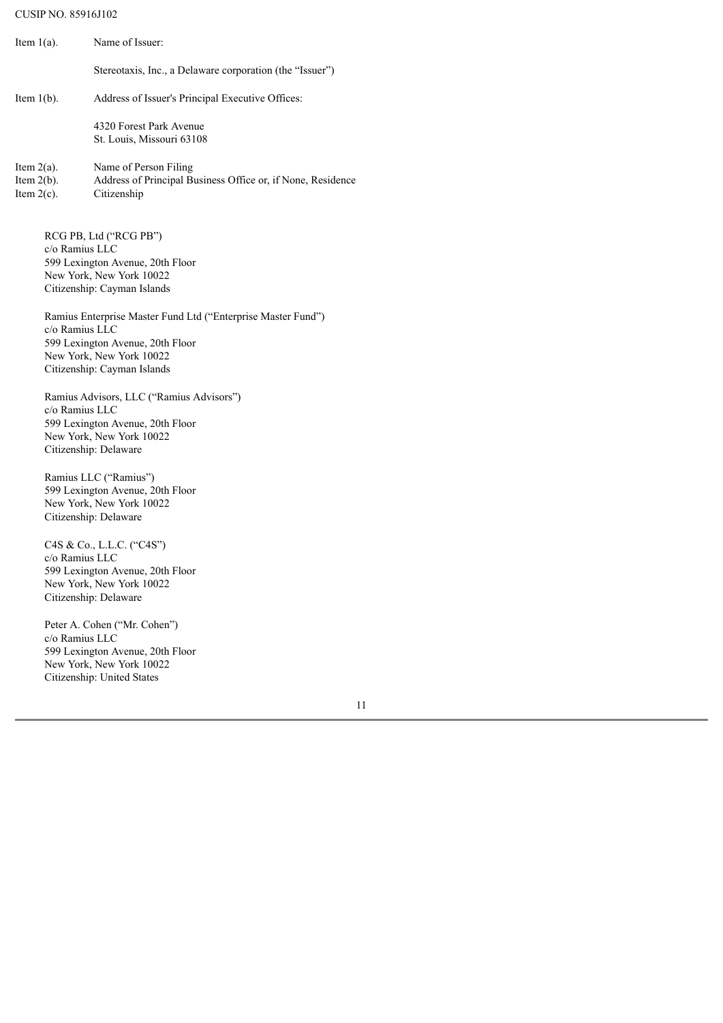## CUSIP NO. 85916J102

| Item $1(a)$ .                                                                                                 | Name of Issuer:                                                                                                                                                                       |
|---------------------------------------------------------------------------------------------------------------|---------------------------------------------------------------------------------------------------------------------------------------------------------------------------------------|
|                                                                                                               | Stereotaxis, Inc., a Delaware corporation (the "Issuer")                                                                                                                              |
| Item $1(b)$ .                                                                                                 | Address of Issuer's Principal Executive Offices:                                                                                                                                      |
|                                                                                                               | 4320 Forest Park Avenue<br>St. Louis, Missouri 63108                                                                                                                                  |
| Item $2(a)$ .<br>Item $2(b)$ .<br>Item $2(c)$ .                                                               | Name of Person Filing<br>Address of Principal Business Office or, if None, Residence<br>Citizenship                                                                                   |
| c/o Ramius LLC                                                                                                | RCG PB, Ltd ("RCG PB")<br>599 Lexington Avenue, 20th Floor<br>New York, New York 10022<br>Citizenship: Cayman Islands<br>Ramius Enterprise Master Fund Ltd ("Enterprise Master Fund") |
| c/o Ramius LLC<br>599 Lexington Avenue, 20th Floor<br>New York, New York 10022<br>Citizenship: Cayman Islands |                                                                                                                                                                                       |
| c/o Ramius LLC                                                                                                | Ramius Advisors, LLC ("Ramius Advisors")<br>599 Lexington Avenue, 20th Floor<br>New York, New York 10022<br>Citizenship: Delaware                                                     |
|                                                                                                               | Ramius LLC ("Ramius")<br>599 Lexington Avenue, 20th Floor<br>New York, New York 10022<br>Citizenship: Delaware                                                                        |
| c/o Ramius LLC                                                                                                | C4S & Co., L.L.C. ("C4S")<br>599 Lexington Avenue, 20th Floor<br>New York, New York 10022<br>Citizenship: Delaware                                                                    |
| c/o Ramius LLC                                                                                                | Peter A. Cohen ("Mr. Cohen")<br>599 Lexington Avenue, 20th Floor<br>New York, New York 10022<br>Citizenship: United States<br>1                                                       |
|                                                                                                               |                                                                                                                                                                                       |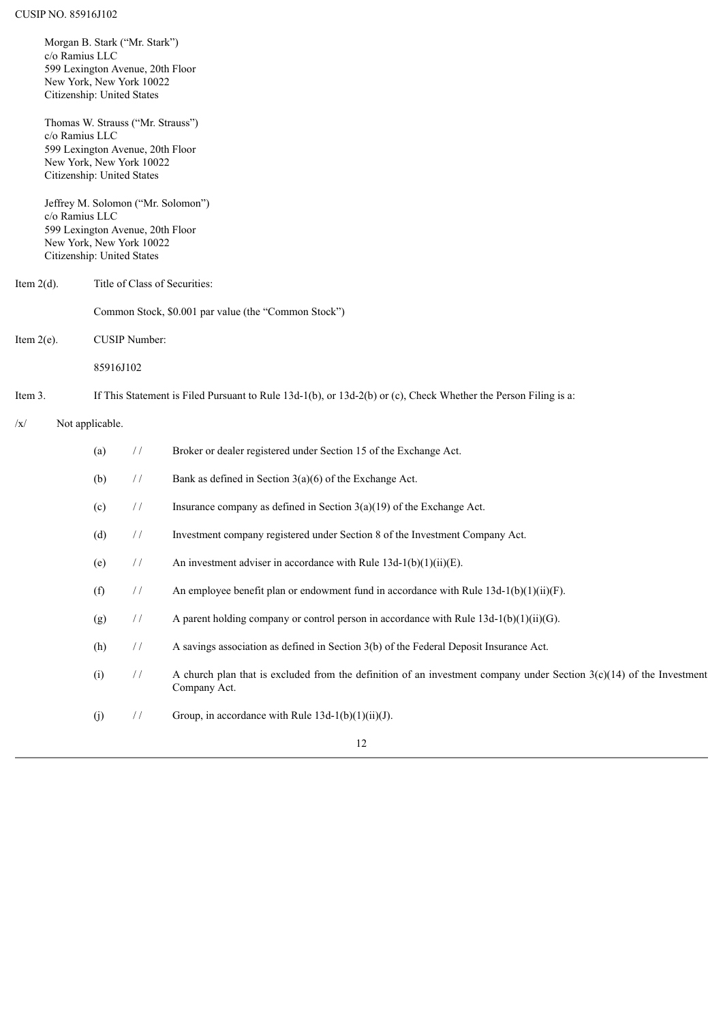|                                | Morgan B. Stark ("Mr. Stark")<br>c/o Ramius LLC<br>599 Lexington Avenue, 20th Floor<br>New York, New York 10022<br>Citizenship: United States     |                 |               |                                                                                                                                        |
|--------------------------------|---------------------------------------------------------------------------------------------------------------------------------------------------|-----------------|---------------|----------------------------------------------------------------------------------------------------------------------------------------|
|                                | Thomas W. Strauss ("Mr. Strauss")<br>c/o Ramius LLC<br>599 Lexington Avenue, 20th Floor<br>New York, New York 10022<br>Citizenship: United States |                 |               |                                                                                                                                        |
|                                | c/o Ramius LLC<br>599 Lexington Avenue, 20th Floor<br>New York, New York 10022<br>Citizenship: United States                                      |                 |               | Jeffrey M. Solomon ("Mr. Solomon")                                                                                                     |
| Item $2(d)$ .                  |                                                                                                                                                   |                 |               | Title of Class of Securities:                                                                                                          |
|                                |                                                                                                                                                   |                 |               | Common Stock, \$0.001 par value (the "Common Stock")                                                                                   |
| CUSIP Number:<br>Item $2(e)$ . |                                                                                                                                                   |                 |               |                                                                                                                                        |
|                                |                                                                                                                                                   | 85916J102       |               |                                                                                                                                        |
| Item 3.                        |                                                                                                                                                   |                 |               | If This Statement is Filed Pursuant to Rule $13d-1(b)$ , or $13d-2(b)$ or (c), Check Whether the Person Filing is a:                   |
| /x/                            |                                                                                                                                                   | Not applicable. |               |                                                                                                                                        |
|                                |                                                                                                                                                   | (a)             | $\frac{1}{2}$ | Broker or dealer registered under Section 15 of the Exchange Act.                                                                      |
|                                |                                                                                                                                                   | (b)             | $\frac{1}{2}$ | Bank as defined in Section $3(a)(6)$ of the Exchange Act.                                                                              |
|                                |                                                                                                                                                   | (c)             | $\frac{1}{2}$ | Insurance company as defined in Section $3(a)(19)$ of the Exchange Act.                                                                |
|                                |                                                                                                                                                   | (d)             | $\frac{1}{2}$ | Investment company registered under Section 8 of the Investment Company Act.                                                           |
|                                |                                                                                                                                                   | (e)             | $\frac{1}{2}$ | An investment adviser in accordance with Rule $13d-1(b)(1)(ii)(E)$ .                                                                   |
|                                |                                                                                                                                                   | (f)             | $\frac{1}{2}$ | An employee benefit plan or endowment fund in accordance with Rule $13d-1(b)(1)(ii)(F)$ .                                              |
|                                |                                                                                                                                                   | (g)             | $\frac{1}{2}$ | A parent holding company or control person in accordance with Rule $13d-1(b)(1)(ii)(G)$ .                                              |
|                                |                                                                                                                                                   | (h)             | $\frac{1}{2}$ | A savings association as defined in Section 3(b) of the Federal Deposit Insurance Act.                                                 |
|                                |                                                                                                                                                   | (i)             | $\frac{1}{2}$ | A church plan that is excluded from the definition of an investment company under Section $3(c)(14)$ of the Investment<br>Company Act. |
|                                |                                                                                                                                                   | (j)             | $\frac{1}{2}$ | Group, in accordance with Rule $13d-1(b)(1)(ii)(J)$ .                                                                                  |
|                                |                                                                                                                                                   |                 |               | 12                                                                                                                                     |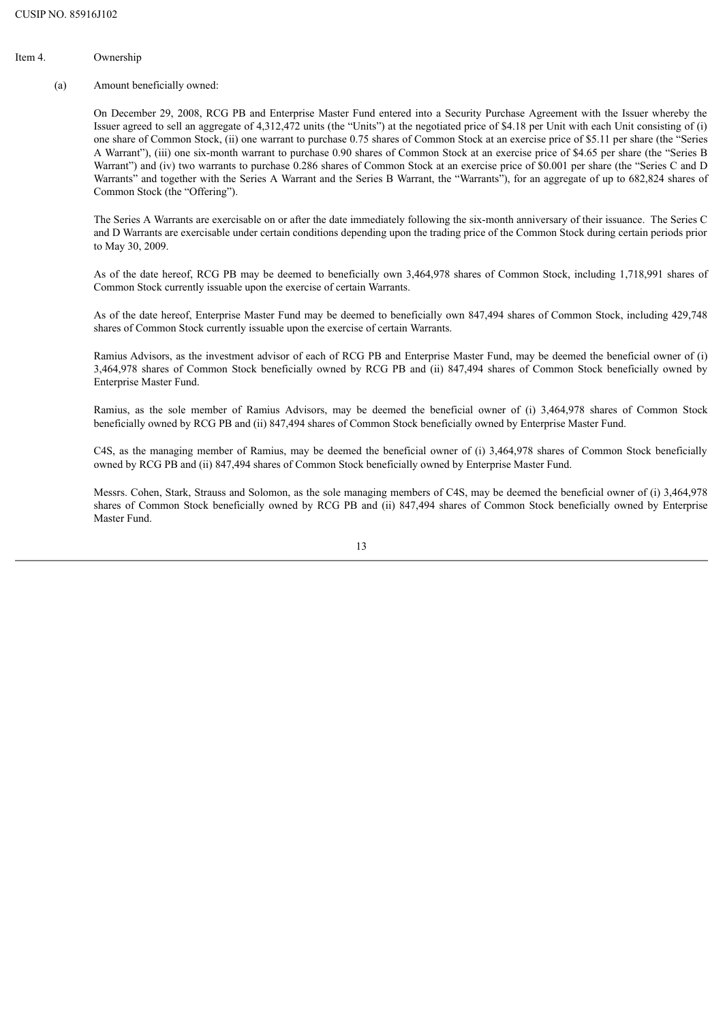## Item 4. Ownership

#### (a) Amount beneficially owned:

On December 29, 2008, RCG PB and Enterprise Master Fund entered into a Security Purchase Agreement with the Issuer whereby the Issuer agreed to sell an aggregate of 4,312,472 units (the "Units") at the negotiated price of \$4.18 per Unit with each Unit consisting of (i) one share of Common Stock, (ii) one warrant to purchase 0.75 shares of Common Stock at an exercise price of \$5.11 per share (the "Series A Warrant"), (iii) one six-month warrant to purchase 0.90 shares of Common Stock at an exercise price of \$4.65 per share (the "Series B Warrant") and (iv) two warrants to purchase 0.286 shares of Common Stock at an exercise price of \$0.001 per share (the "Series C and D Warrants" and together with the Series A Warrant and the Series B Warrant, the "Warrants"), for an aggregate of up to 682,824 shares of Common Stock (the "Offering").

The Series A Warrants are exercisable on or after the date immediately following the six-month anniversary of their issuance. The Series C and D Warrants are exercisable under certain conditions depending upon the trading price of the Common Stock during certain periods prior to May 30, 2009.

As of the date hereof, RCG PB may be deemed to beneficially own 3,464,978 shares of Common Stock, including 1,718,991 shares of Common Stock currently issuable upon the exercise of certain Warrants.

As of the date hereof, Enterprise Master Fund may be deemed to beneficially own 847,494 shares of Common Stock, including 429,748 shares of Common Stock currently issuable upon the exercise of certain Warrants.

Ramius Advisors, as the investment advisor of each of RCG PB and Enterprise Master Fund, may be deemed the beneficial owner of (i) 3,464,978 shares of Common Stock beneficially owned by RCG PB and (ii) 847,494 shares of Common Stock beneficially owned by Enterprise Master Fund.

Ramius, as the sole member of Ramius Advisors, may be deemed the beneficial owner of (i) 3,464,978 shares of Common Stock beneficially owned by RCG PB and (ii) 847,494 shares of Common Stock beneficially owned by Enterprise Master Fund.

C4S, as the managing member of Ramius, may be deemed the beneficial owner of (i) 3,464,978 shares of Common Stock beneficially owned by RCG PB and (ii) 847,494 shares of Common Stock beneficially owned by Enterprise Master Fund.

Messrs. Cohen, Stark, Strauss and Solomon, as the sole managing members of C4S, may be deemed the beneficial owner of (i) 3,464,978 shares of Common Stock beneficially owned by RCG PB and (ii) 847,494 shares of Common Stock beneficially owned by Enterprise Master Fund.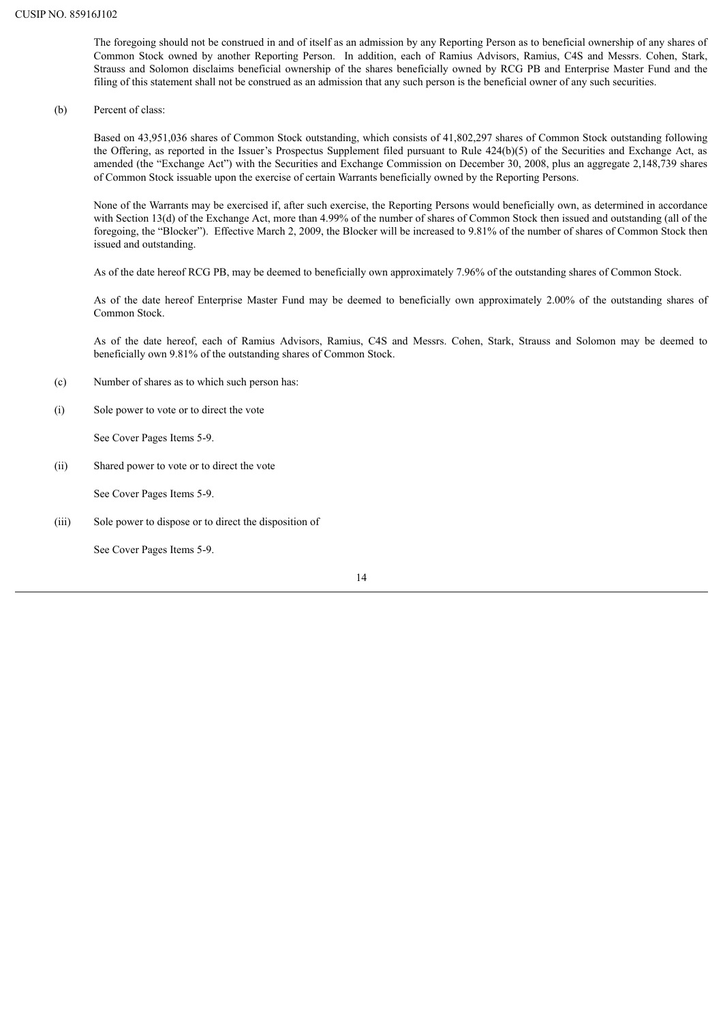The foregoing should not be construed in and of itself as an admission by any Reporting Person as to beneficial ownership of any shares of Common Stock owned by another Reporting Person. In addition, each of Ramius Advisors, Ramius, C4S and Messrs. Cohen, Stark, Strauss and Solomon disclaims beneficial ownership of the shares beneficially owned by RCG PB and Enterprise Master Fund and the filing of this statement shall not be construed as an admission that any such person is the beneficial owner of any such securities.

(b) Percent of class:

Based on 43,951,036 shares of Common Stock outstanding, which consists of 41,802,297 shares of Common Stock outstanding following the Offering, as reported in the Issuer's Prospectus Supplement filed pursuant to Rule 424(b)(5) of the Securities and Exchange Act, as amended (the "Exchange Act") with the Securities and Exchange Commission on December 30, 2008, plus an aggregate 2,148,739 shares of Common Stock issuable upon the exercise of certain Warrants beneficially owned by the Reporting Persons.

None of the Warrants may be exercised if, after such exercise, the Reporting Persons would beneficially own, as determined in accordance with Section 13(d) of the Exchange Act, more than 4.99% of the number of shares of Common Stock then issued and outstanding (all of the foregoing, the "Blocker"). Effective March 2, 2009, the Blocker will be increased to 9.81% of the number of shares of Common Stock then issued and outstanding.

As of the date hereof RCG PB, may be deemed to beneficially own approximately 7.96% of the outstanding shares of Common Stock.

As of the date hereof Enterprise Master Fund may be deemed to beneficially own approximately 2.00% of the outstanding shares of Common Stock.

As of the date hereof, each of Ramius Advisors, Ramius, C4S and Messrs. Cohen, Stark, Strauss and Solomon may be deemed to beneficially own 9.81% of the outstanding shares of Common Stock.

- (c) Number of shares as to which such person has:
- (i) Sole power to vote or to direct the vote

See Cover Pages Items 5-9.

(ii) Shared power to vote or to direct the vote

See Cover Pages Items 5-9.

(iii) Sole power to dispose or to direct the disposition of

See Cover Pages Items 5-9.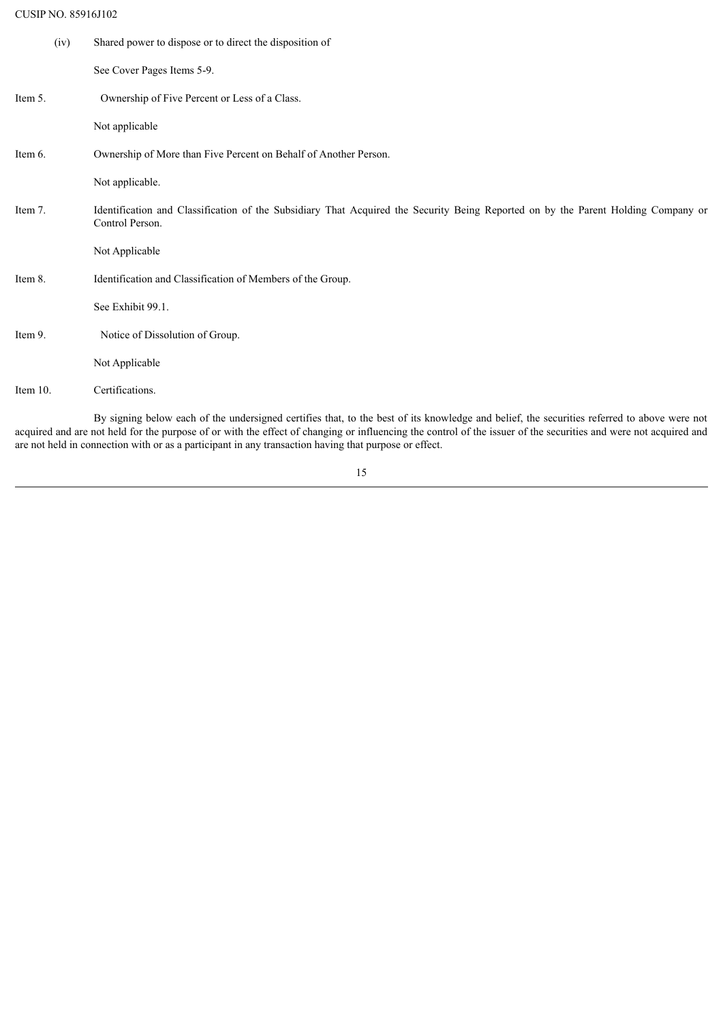## CUSIP NO. 85916J102

| (iv)        | Shared power to dispose or to direct the disposition of                                                                                                                                                                                                                                                         |
|-------------|-----------------------------------------------------------------------------------------------------------------------------------------------------------------------------------------------------------------------------------------------------------------------------------------------------------------|
|             | See Cover Pages Items 5-9.                                                                                                                                                                                                                                                                                      |
| Item 5.     | Ownership of Five Percent or Less of a Class.                                                                                                                                                                                                                                                                   |
|             | Not applicable                                                                                                                                                                                                                                                                                                  |
| Item 6.     | Ownership of More than Five Percent on Behalf of Another Person.                                                                                                                                                                                                                                                |
|             | Not applicable.                                                                                                                                                                                                                                                                                                 |
| Item 7.     | Identification and Classification of the Subsidiary That Acquired the Security Being Reported on by the Parent Holding Company or<br>Control Person.                                                                                                                                                            |
|             | Not Applicable                                                                                                                                                                                                                                                                                                  |
| Item 8.     | Identification and Classification of Members of the Group.                                                                                                                                                                                                                                                      |
|             | See Exhibit 99.1.                                                                                                                                                                                                                                                                                               |
| Item 9.     | Notice of Dissolution of Group.                                                                                                                                                                                                                                                                                 |
|             | Not Applicable                                                                                                                                                                                                                                                                                                  |
| Item $10$ . | Certifications.                                                                                                                                                                                                                                                                                                 |
|             | By signing below each of the undersigned certifies that, to the best of its knowledge and belief, the securities referred to above were not<br>acquired and are not held for the purpose of or with the effect of changing or influencing the control of the issuer of the securities and were not acquired and |

15

are not held in connection with or as a participant in any transaction having that purpose or effect.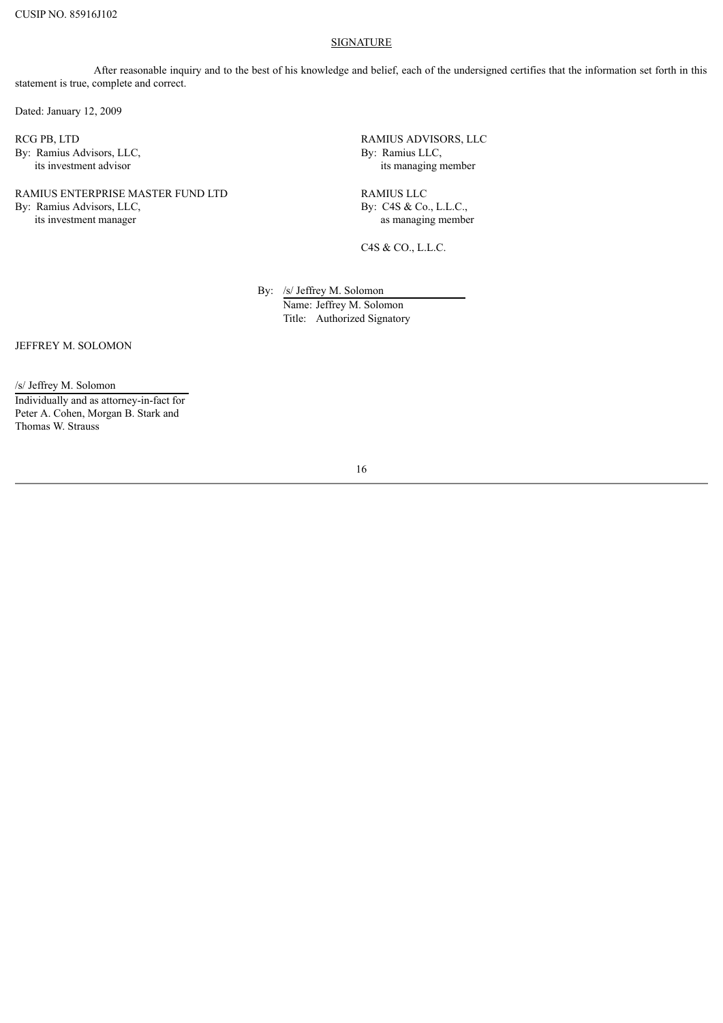#### **SIGNATURE**

After reasonable inquiry and to the best of his knowledge and belief, each of the undersigned certifies that the information set forth in this statement is true, complete and correct.

Dated: January 12, 2009

RCG PB, LTD By: Ramius Advisors, LLC, its investment advisor

## RAMIUS ENTERPRISE MASTER FUND LTD By: Ramius Advisors, LLC, its investment manager

RAMIUS ADVISORS, LLC By: Ramius LLC, its managing member

RAMIUS LLC By: C4S & Co., L.L.C., as managing member

C4S & CO., L.L.C.

By: /s/ Jeffrey M. Solomon

Name: Jeffrey M. Solomon Title: Authorized Signatory

JEFFREY M. SOLOMON

/s/ Jeffrey M. Solomon Individually and as attorney-in-fact for Peter A. Cohen, Morgan B. Stark and Thomas W. Strauss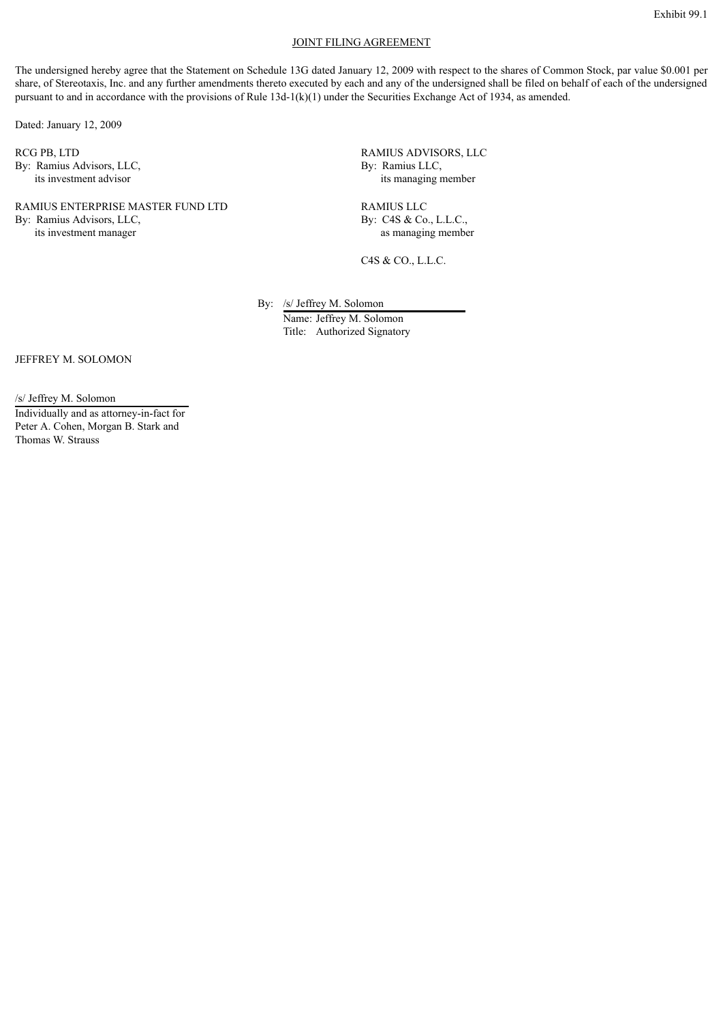#### JOINT FILING AGREEMENT

The undersigned hereby agree that the Statement on Schedule 13G dated January 12, 2009 with respect to the shares of Common Stock, par value \$0.001 per share, of Stereotaxis, Inc. and any further amendments thereto executed by each and any of the undersigned shall be filed on behalf of each of the undersigned pursuant to and in accordance with the provisions of Rule 13d-1(k)(1) under the Securities Exchange Act of 1934, as amended.

Dated: January 12, 2009

RCG PB, LTD By: Ramius Advisors, LLC, its investment advisor

# RAMIUS ENTERPRISE MASTER FUND LTD

By: Ramius Advisors, LLC, its investment manager

RAMIUS ADVISORS, LLC By: Ramius LLC, its managing member

RAMIUS LLC By: C4S & Co., L.L.C., as managing member

C4S & CO., L.L.C.

By: /s/ Jeffrey M. Solomon

Name: Jeffrey M. Solomon Title: Authorized Signatory

JEFFREY M. SOLOMON

/s/ Jeffrey M. Solomon Individually and as attorney-in-fact for

Peter A. Cohen, Morgan B. Stark and Thomas W. Strauss